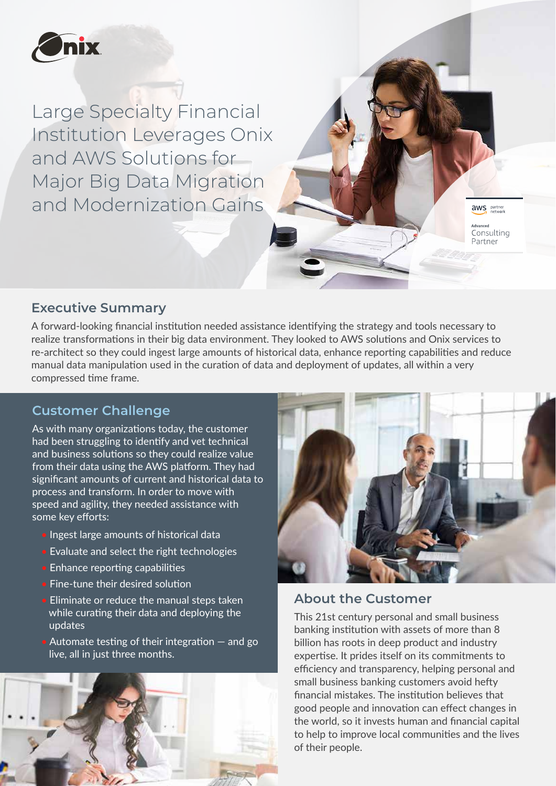

Large Specialty Financial Institution Leverages Onix and AWS Solutions for Major Big Data Migration and Modernization Gains

**Executive Summary**

A forward-looking financial institution needed assistance identifying the strategy and tools necessary to realize transformations in their big data environment. They looked to AWS solutions and Onix services to re-architect so they could ingest large amounts of historical data, enhance reporting capabilities and reduce manual data manipulation used in the curation of data and deployment of updates, all within a very compressed time frame.

# **Customer Challenge**

As with many organizations today, the customer had been struggling to identify and vet technical and business solutions so they could realize value from their data using the AWS platform. They had significant amounts of cur<u>rent and historical data to</u> process and transform. In order to move with speed and agility, they needed assistance with some key efforts:

- Ingest large amounts of historical data
- Evaluate and select the right technologies
- Enhance reporting capabilities
- Fine-tune their desired solution
- Eliminate or reduce the manual steps taken while curating their data and deploying the updates
- Automate testing of their integration and go live, all in just three months.





aws partner Advanced Consulting Partner

#### **About the Customer**

This 21st century personal and small business banking institution with assets of more than 8 billion has roots in deep product and industry expertise. It prides itself on its commitments to efficiency and transparency, helping personal and small business banking customers avoid hefty financial mistakes. The institution believes that good people and innovation can effect changes in the world, so it invests human and financial capital to help to improve local communities and the lives of their people.